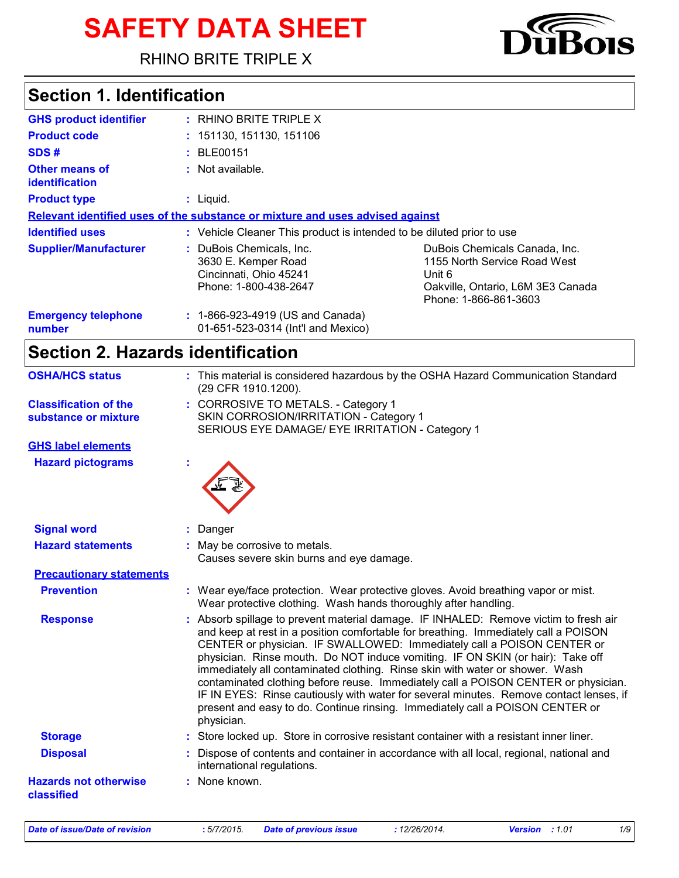# **SAFETY DATA SHEET**

RHINO BRITE TRIPLE X

# **Section 1. Identification**

| <b>GHS product identifier</b>                  | $:$ RHINO BRITE TRIPLE X                                                                           |                                                                                                                                       |
|------------------------------------------------|----------------------------------------------------------------------------------------------------|---------------------------------------------------------------------------------------------------------------------------------------|
| <b>Product code</b>                            | : 151130, 151130, 151106                                                                           |                                                                                                                                       |
| SDS#                                           | : BLE00151                                                                                         |                                                                                                                                       |
| <b>Other means of</b><br><i>identification</i> | : Not available.                                                                                   |                                                                                                                                       |
| <b>Product type</b>                            | $:$ Liquid.                                                                                        |                                                                                                                                       |
|                                                | Relevant identified uses of the substance or mixture and uses advised against                      |                                                                                                                                       |
| <b>Identified uses</b>                         | : Vehicle Cleaner This product is intended to be diluted prior to use                              |                                                                                                                                       |
| <b>Supplier/Manufacturer</b>                   | : DuBois Chemicals, Inc.<br>3630 E. Kemper Road<br>Cincinnati, Ohio 45241<br>Phone: 1-800-438-2647 | DuBois Chemicals Canada, Inc.<br>1155 North Service Road West<br>Unit 6<br>Oakville, Ontario, L6M 3E3 Canada<br>Phone: 1-866-861-3603 |
| <b>Emergency telephone</b><br>number           | $: 1-866-923-4919$ (US and Canada)<br>01-651-523-0314 (Int'l and Mexico)                           |                                                                                                                                       |

# **Section 2. Hazards identification**

| <b>OSHA/HCS status</b>                     | : This material is considered hazardous by the OSHA Hazard Communication Standard<br>(29 CFR 1910.1200).                                                                                                                                                                                                                                                                                                                                                                                                                                                                                                                                                                                               |
|--------------------------------------------|--------------------------------------------------------------------------------------------------------------------------------------------------------------------------------------------------------------------------------------------------------------------------------------------------------------------------------------------------------------------------------------------------------------------------------------------------------------------------------------------------------------------------------------------------------------------------------------------------------------------------------------------------------------------------------------------------------|
| <b>Classification of the</b>               | : CORROSIVE TO METALS. - Category 1                                                                                                                                                                                                                                                                                                                                                                                                                                                                                                                                                                                                                                                                    |
| substance or mixture                       | SKIN CORROSION/IRRITATION - Category 1<br>SERIOUS EYE DAMAGE/ EYE IRRITATION - Category 1                                                                                                                                                                                                                                                                                                                                                                                                                                                                                                                                                                                                              |
| <b>GHS label elements</b>                  |                                                                                                                                                                                                                                                                                                                                                                                                                                                                                                                                                                                                                                                                                                        |
| <b>Hazard pictograms</b>                   |                                                                                                                                                                                                                                                                                                                                                                                                                                                                                                                                                                                                                                                                                                        |
| <b>Signal word</b>                         | : Danger                                                                                                                                                                                                                                                                                                                                                                                                                                                                                                                                                                                                                                                                                               |
| <b>Hazard statements</b>                   | : May be corrosive to metals.                                                                                                                                                                                                                                                                                                                                                                                                                                                                                                                                                                                                                                                                          |
|                                            | Causes severe skin burns and eye damage.                                                                                                                                                                                                                                                                                                                                                                                                                                                                                                                                                                                                                                                               |
| <b>Precautionary statements</b>            |                                                                                                                                                                                                                                                                                                                                                                                                                                                                                                                                                                                                                                                                                                        |
| <b>Prevention</b>                          | : Wear eye/face protection. Wear protective gloves. Avoid breathing vapor or mist.<br>Wear protective clothing. Wash hands thoroughly after handling.                                                                                                                                                                                                                                                                                                                                                                                                                                                                                                                                                  |
| <b>Response</b>                            | : Absorb spillage to prevent material damage. IF INHALED: Remove victim to fresh air<br>and keep at rest in a position comfortable for breathing. Immediately call a POISON<br>CENTER or physician. IF SWALLOWED: Immediately call a POISON CENTER or<br>physician. Rinse mouth. Do NOT induce vomiting. IF ON SKIN (or hair): Take off<br>immediately all contaminated clothing. Rinse skin with water or shower. Wash<br>contaminated clothing before reuse. Immediately call a POISON CENTER or physician.<br>IF IN EYES: Rinse cautiously with water for several minutes. Remove contact lenses, if<br>present and easy to do. Continue rinsing. Immediately call a POISON CENTER or<br>physician. |
| <b>Storage</b>                             | : Store locked up. Store in corrosive resistant container with a resistant inner liner.                                                                                                                                                                                                                                                                                                                                                                                                                                                                                                                                                                                                                |
| <b>Disposal</b>                            | : Dispose of contents and container in accordance with all local, regional, national and<br>international regulations.                                                                                                                                                                                                                                                                                                                                                                                                                                                                                                                                                                                 |
| <b>Hazards not otherwise</b><br>classified | : None known.                                                                                                                                                                                                                                                                                                                                                                                                                                                                                                                                                                                                                                                                                          |
|                                            |                                                                                                                                                                                                                                                                                                                                                                                                                                                                                                                                                                                                                                                                                                        |

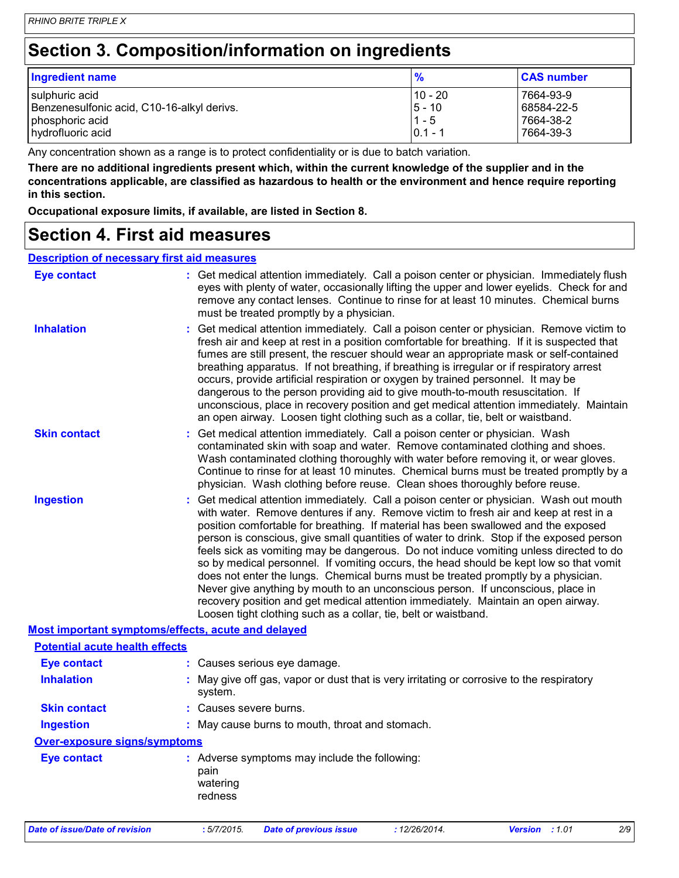# **Section 3. Composition/information on ingredients**

| Ingredient name                            | $\frac{9}{6}$ | <b>CAS number</b> |
|--------------------------------------------|---------------|-------------------|
| sulphuric acid                             | 10 - 20       | 7664-93-9         |
| Benzenesulfonic acid, C10-16-alkyl derivs. | $5 - 10$      | 68584-22-5        |
| phosphoric acid                            | $1 - 5$       | 7664-38-2         |
| hydrofluoric acid                          | $0.1 - 1$     | 7664-39-3         |

Any concentration shown as a range is to protect confidentiality or is due to batch variation.

**There are no additional ingredients present which, within the current knowledge of the supplier and in the concentrations applicable, are classified as hazardous to health or the environment and hence require reporting in this section.**

**Occupational exposure limits, if available, are listed in Section 8.**

### **Section 4. First aid measures**

### **Description of necessary first aid measures**

| <b>Eye contact</b>                    | : Get medical attention immediately. Call a poison center or physician. Immediately flush<br>eyes with plenty of water, occasionally lifting the upper and lower eyelids. Check for and<br>remove any contact lenses. Continue to rinse for at least 10 minutes. Chemical burns<br>must be treated promptly by a physician.                                                                                                                                                                                                                                                                                                                                                                                                                                                                                                                                                         |
|---------------------------------------|-------------------------------------------------------------------------------------------------------------------------------------------------------------------------------------------------------------------------------------------------------------------------------------------------------------------------------------------------------------------------------------------------------------------------------------------------------------------------------------------------------------------------------------------------------------------------------------------------------------------------------------------------------------------------------------------------------------------------------------------------------------------------------------------------------------------------------------------------------------------------------------|
| <b>Inhalation</b>                     | : Get medical attention immediately. Call a poison center or physician. Remove victim to<br>fresh air and keep at rest in a position comfortable for breathing. If it is suspected that<br>fumes are still present, the rescuer should wear an appropriate mask or self-contained<br>breathing apparatus. If not breathing, if breathing is irregular or if respiratory arrest<br>occurs, provide artificial respiration or oxygen by trained personnel. It may be<br>dangerous to the person providing aid to give mouth-to-mouth resuscitation. If<br>unconscious, place in recovery position and get medical attention immediately. Maintain<br>an open airway. Loosen tight clothing such as a collar, tie, belt or waistband.                                                                                                                                                  |
| <b>Skin contact</b>                   | : Get medical attention immediately. Call a poison center or physician. Wash<br>contaminated skin with soap and water. Remove contaminated clothing and shoes.<br>Wash contaminated clothing thoroughly with water before removing it, or wear gloves.<br>Continue to rinse for at least 10 minutes. Chemical burns must be treated promptly by a<br>physician. Wash clothing before reuse. Clean shoes thoroughly before reuse.                                                                                                                                                                                                                                                                                                                                                                                                                                                    |
| <b>Ingestion</b>                      | : Get medical attention immediately. Call a poison center or physician. Wash out mouth<br>with water. Remove dentures if any. Remove victim to fresh air and keep at rest in a<br>position comfortable for breathing. If material has been swallowed and the exposed<br>person is conscious, give small quantities of water to drink. Stop if the exposed person<br>feels sick as vomiting may be dangerous. Do not induce vomiting unless directed to do<br>so by medical personnel. If vomiting occurs, the head should be kept low so that vomit<br>does not enter the lungs. Chemical burns must be treated promptly by a physician.<br>Never give anything by mouth to an unconscious person. If unconscious, place in<br>recovery position and get medical attention immediately. Maintain an open airway.<br>Loosen tight clothing such as a collar, tie, belt or waistband. |
|                                       | Most important symptoms/effects, acute and delayed                                                                                                                                                                                                                                                                                                                                                                                                                                                                                                                                                                                                                                                                                                                                                                                                                                  |
| <b>Potential acute health effects</b> |                                                                                                                                                                                                                                                                                                                                                                                                                                                                                                                                                                                                                                                                                                                                                                                                                                                                                     |
| <b>Eye contact</b>                    | : Causes serious eye damage.                                                                                                                                                                                                                                                                                                                                                                                                                                                                                                                                                                                                                                                                                                                                                                                                                                                        |
| <b>Inhalation</b>                     | : May give off gas, vapor or dust that is very irritating or corrosive to the respiratory<br>system.                                                                                                                                                                                                                                                                                                                                                                                                                                                                                                                                                                                                                                                                                                                                                                                |
| <b>Skin contact</b>                   | : Causes severe burns.                                                                                                                                                                                                                                                                                                                                                                                                                                                                                                                                                                                                                                                                                                                                                                                                                                                              |
| <b>Ingestion</b>                      | : May cause burns to mouth, throat and stomach.                                                                                                                                                                                                                                                                                                                                                                                                                                                                                                                                                                                                                                                                                                                                                                                                                                     |
| <b>Over-exposure signs/symptoms</b>   |                                                                                                                                                                                                                                                                                                                                                                                                                                                                                                                                                                                                                                                                                                                                                                                                                                                                                     |
| <b>Eye contact</b>                    | : Adverse symptoms may include the following:<br>pain<br>watering<br>redness                                                                                                                                                                                                                                                                                                                                                                                                                                                                                                                                                                                                                                                                                                                                                                                                        |
| Date of issue/Date of revision        | :5/7/2015.<br><b>Date of previous issue</b><br>: 12/26/2014.<br><b>Version</b><br>:1.01<br>2/9                                                                                                                                                                                                                                                                                                                                                                                                                                                                                                                                                                                                                                                                                                                                                                                      |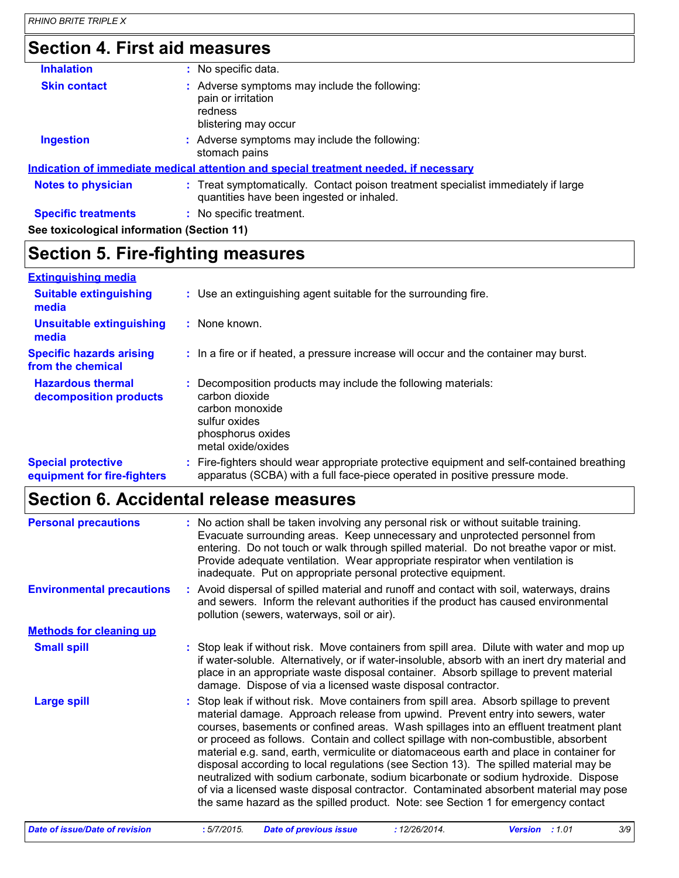### **Section 4. First aid measures**

| <b>Inhalation</b>                          | : No specific data.                                                                                                            |
|--------------------------------------------|--------------------------------------------------------------------------------------------------------------------------------|
| <b>Skin contact</b>                        | : Adverse symptoms may include the following:<br>pain or irritation<br>redness<br>blistering may occur                         |
| <b>Ingestion</b>                           | : Adverse symptoms may include the following:<br>stomach pains                                                                 |
|                                            | <u>Indication of immediate medical attention and special treatment needed, if necessary</u>                                    |
| <b>Notes to physician</b>                  | : Treat symptomatically. Contact poison treatment specialist immediately if large<br>quantities have been ingested or inhaled. |
| <b>Specific treatments</b>                 | : No specific treatment.                                                                                                       |
| See toxicological information (Section 11) |                                                                                                                                |

## **Section 5. Fire-fighting measures**

#### **Hazardous thermal decomposition products Specific hazards arising from the chemical** Decomposition products may include the following materials: **:** carbon dioxide carbon monoxide sulfur oxides phosphorus oxides metal oxide/oxides **:** In a fire or if heated, a pressure increase will occur and the container may burst. Fire-fighters should wear appropriate protective equipment and self-contained breathing **:** apparatus (SCBA) with a full face-piece operated in positive pressure mode. **Special protective equipment for fire-fighters** Use an extinguishing agent suitable for the surrounding fire. **: Extinguishing media :** None known. **Suitable extinguishing media Unsuitable extinguishing media**

### **Section 6. Accidental release measures**

| <b>Personal precautions</b>           | No action shall be taken involving any personal risk or without suitable training.<br>Evacuate surrounding areas. Keep unnecessary and unprotected personnel from<br>entering. Do not touch or walk through spilled material. Do not breathe vapor or mist.<br>Provide adequate ventilation. Wear appropriate respirator when ventilation is<br>inadequate. Put on appropriate personal protective equipment.                                                                                                                                                                                                                                                                                                                                                                                                       |  |  |  |  |
|---------------------------------------|---------------------------------------------------------------------------------------------------------------------------------------------------------------------------------------------------------------------------------------------------------------------------------------------------------------------------------------------------------------------------------------------------------------------------------------------------------------------------------------------------------------------------------------------------------------------------------------------------------------------------------------------------------------------------------------------------------------------------------------------------------------------------------------------------------------------|--|--|--|--|
| <b>Environmental precautions</b>      | : Avoid dispersal of spilled material and runoff and contact with soil, waterways, drains<br>and sewers. Inform the relevant authorities if the product has caused environmental<br>pollution (sewers, waterways, soil or air).                                                                                                                                                                                                                                                                                                                                                                                                                                                                                                                                                                                     |  |  |  |  |
| <b>Methods for cleaning up</b>        |                                                                                                                                                                                                                                                                                                                                                                                                                                                                                                                                                                                                                                                                                                                                                                                                                     |  |  |  |  |
| <b>Small spill</b>                    | : Stop leak if without risk. Move containers from spill area. Dilute with water and mop up<br>if water-soluble. Alternatively, or if water-insoluble, absorb with an inert dry material and<br>place in an appropriate waste disposal container. Absorb spillage to prevent material<br>damage. Dispose of via a licensed waste disposal contractor.                                                                                                                                                                                                                                                                                                                                                                                                                                                                |  |  |  |  |
| <b>Large spill</b>                    | : Stop leak if without risk. Move containers from spill area. Absorb spillage to prevent<br>material damage. Approach release from upwind. Prevent entry into sewers, water<br>courses, basements or confined areas. Wash spillages into an effluent treatment plant<br>or proceed as follows. Contain and collect spillage with non-combustible, absorbent<br>material e.g. sand, earth, vermiculite or diatomaceous earth and place in container for<br>disposal according to local regulations (see Section 13). The spilled material may be<br>neutralized with sodium carbonate, sodium bicarbonate or sodium hydroxide. Dispose<br>of via a licensed waste disposal contractor. Contaminated absorbent material may pose<br>the same hazard as the spilled product. Note: see Section 1 for emergency contact |  |  |  |  |
| <b>Date of issue/Date of revision</b> | 3/9<br>:5/7/2015.<br><b>Date of previous issue</b><br>: 12/26/2014.<br><b>Version</b> : 1.01                                                                                                                                                                                                                                                                                                                                                                                                                                                                                                                                                                                                                                                                                                                        |  |  |  |  |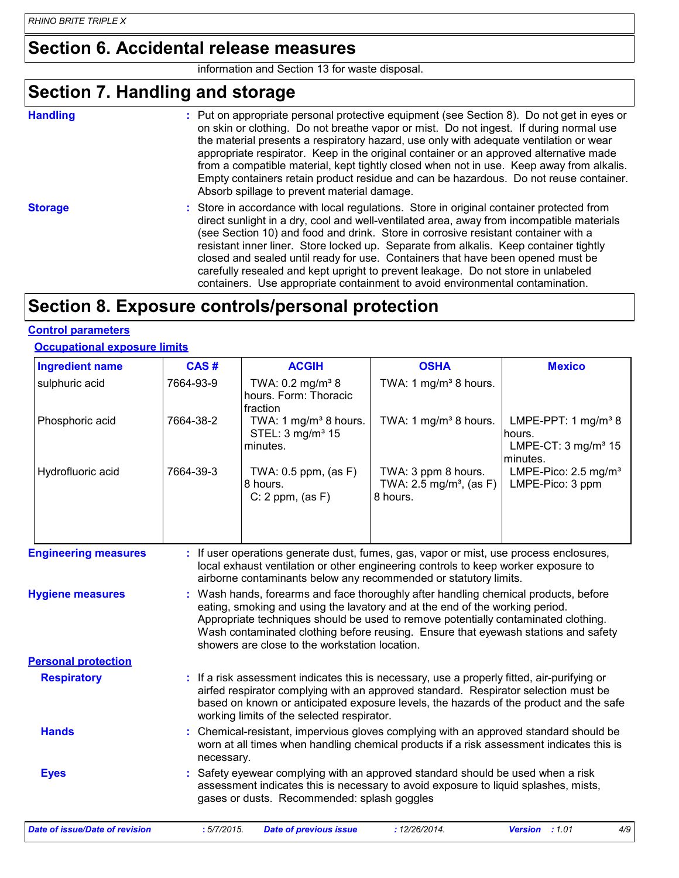### **Section 6. Accidental release measures**

information and Section 13 for waste disposal.

### **Section 7. Handling and storage**

**Handling** entries a metal on appropriate personal protective equipment (see Section 8). Do not get in eyes or and the section 8). By not get in eyes or on skin or clothing. Do not breathe vapor or mist. Do not ingest. If during normal use the material presents a respiratory hazard, use only with adequate ventilation or wear appropriate respirator. Keep in the original container or an approved alternative made from a compatible material, kept tightly closed when not in use. Keep away from alkalis. Empty containers retain product residue and can be hazardous. Do not reuse container. Absorb spillage to prevent material damage.

**Storage** Store in accordance with local regulations. Store in original container protected from direct sunlight in a dry, cool and well-ventilated area, away from incompatible materials (see Section 10) and food and drink. Store in corrosive resistant container with a resistant inner liner. Store locked up. Separate from alkalis. Keep container tightly closed and sealed until ready for use. Containers that have been opened must be carefully resealed and kept upright to prevent leakage. Do not store in unlabeled containers. Use appropriate containment to avoid environmental contamination.

### **Section 8. Exposure controls/personal protection**

#### **Control parameters**

#### **Occupational exposure limits**

| <b>Ingredient name</b>                | CAS#        | <b>ACGIH</b>                                                                                                                                                                                  | <b>OSHA</b>                                                                                                                                                                                                                                                                                                                                     | <b>Mexico</b>                                                                  |  |  |
|---------------------------------------|-------------|-----------------------------------------------------------------------------------------------------------------------------------------------------------------------------------------------|-------------------------------------------------------------------------------------------------------------------------------------------------------------------------------------------------------------------------------------------------------------------------------------------------------------------------------------------------|--------------------------------------------------------------------------------|--|--|
| sulphuric acid                        | 7664-93-9   | TWA: 0.2 mg/m <sup>3</sup> 8<br>hours. Form: Thoracic<br>fraction                                                                                                                             | TWA: 1 mg/m <sup>3</sup> 8 hours.                                                                                                                                                                                                                                                                                                               |                                                                                |  |  |
| Phosphoric acid                       | 7664-38-2   | TWA: 1 mg/m <sup>3</sup> 8 hours.<br>STEL: 3 mg/m <sup>3</sup> 15<br>minutes.                                                                                                                 | TWA: 1 mg/m <sup>3</sup> 8 hours.                                                                                                                                                                                                                                                                                                               | LMPE-PPT: 1 $mg/m^3$ 8<br>hours.<br>LMPE-CT: $3 \text{ mg/m}^3$ 15<br>minutes. |  |  |
| Hydrofluoric acid                     | 7664-39-3   | TWA: $0.5$ ppm, (as F)<br>8 hours.<br>$C: 2$ ppm, $(as F)$                                                                                                                                    | TWA: 3 ppm 8 hours.<br>TWA: $2.5 \text{ mg/m}^3$ , (as F)<br>8 hours.                                                                                                                                                                                                                                                                           | LMPE-Pico: 2.5 mg/m <sup>3</sup><br>LMPE-Pico: 3 ppm                           |  |  |
| <b>Engineering measures</b>           |             |                                                                                                                                                                                               | : If user operations generate dust, fumes, gas, vapor or mist, use process enclosures,<br>local exhaust ventilation or other engineering controls to keep worker exposure to<br>airborne contaminants below any recommended or statutory limits.                                                                                                |                                                                                |  |  |
| <b>Hygiene measures</b>               |             | showers are close to the workstation location.                                                                                                                                                | : Wash hands, forearms and face thoroughly after handling chemical products, before<br>eating, smoking and using the lavatory and at the end of the working period.<br>Appropriate techniques should be used to remove potentially contaminated clothing.<br>Wash contaminated clothing before reusing. Ensure that eyewash stations and safety |                                                                                |  |  |
| <b>Personal protection</b>            |             |                                                                                                                                                                                               |                                                                                                                                                                                                                                                                                                                                                 |                                                                                |  |  |
| <b>Respiratory</b>                    |             | working limits of the selected respirator.                                                                                                                                                    | : If a risk assessment indicates this is necessary, use a properly fitted, air-purifying or<br>airfed respirator complying with an approved standard. Respirator selection must be<br>based on known or anticipated exposure levels, the hazards of the product and the safe                                                                    |                                                                                |  |  |
| <b>Hands</b>                          |             | Chemical-resistant, impervious gloves complying with an approved standard should be<br>worn at all times when handling chemical products if a risk assessment indicates this is<br>necessary. |                                                                                                                                                                                                                                                                                                                                                 |                                                                                |  |  |
| <b>Eyes</b>                           |             | gases or dusts. Recommended: splash goggles                                                                                                                                                   | Safety eyewear complying with an approved standard should be used when a risk<br>assessment indicates this is necessary to avoid exposure to liquid splashes, mists,                                                                                                                                                                            |                                                                                |  |  |
| <b>Date of issue/Date of revision</b> | : 5/7/2015. | <b>Date of previous issue</b>                                                                                                                                                                 | : 12/26/2014.                                                                                                                                                                                                                                                                                                                                   | 4/9<br>Version : 1.01                                                          |  |  |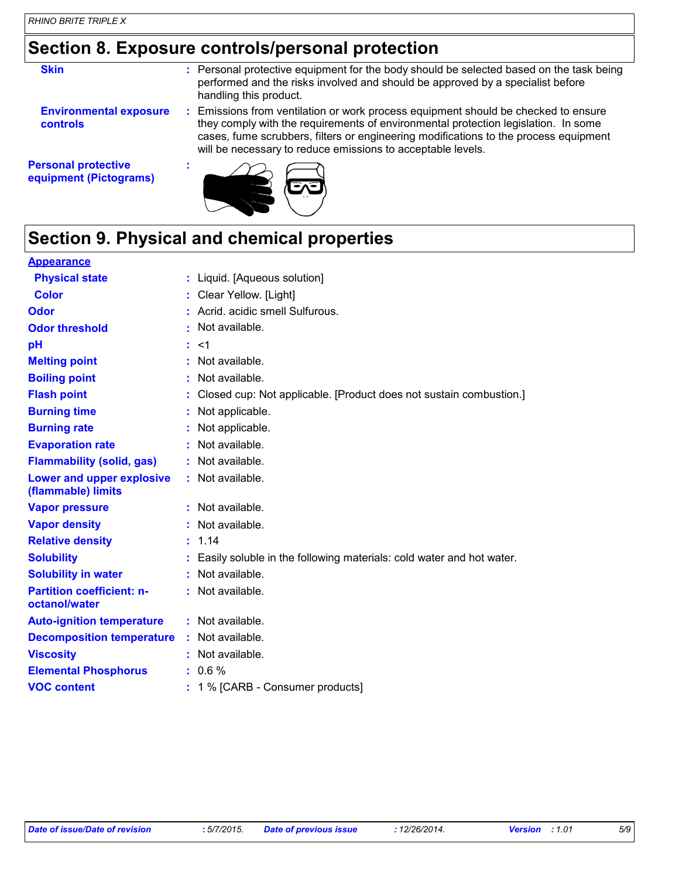# **Section 8. Exposure controls/personal protection**

| <b>Skin</b>                                          | : Personal protective equipment for the body should be selected based on the task being<br>performed and the risks involved and should be approved by a specialist before<br>handling this product.                                                                                                                             |
|------------------------------------------------------|---------------------------------------------------------------------------------------------------------------------------------------------------------------------------------------------------------------------------------------------------------------------------------------------------------------------------------|
| <b>Environmental exposure</b><br><b>controls</b>     | : Emissions from ventilation or work process equipment should be checked to ensure<br>they comply with the requirements of environmental protection legislation. In some<br>cases, fume scrubbers, filters or engineering modifications to the process equipment<br>will be necessary to reduce emissions to acceptable levels. |
| <b>Personal protective</b><br>equipment (Pictograms) |                                                                                                                                                                                                                                                                                                                                 |

# **Section 9. Physical and chemical properties**

| <b>Appearance</b>                                 |                                                                      |
|---------------------------------------------------|----------------------------------------------------------------------|
| <b>Physical state</b>                             | : Liquid. [Aqueous solution]                                         |
| Color                                             | Clear Yellow. [Light]                                                |
| Odor                                              | Acrid. acidic smell Sulfurous.                                       |
| <b>Odor threshold</b>                             | Not available.                                                       |
| pH                                                | $<$ 1                                                                |
| <b>Melting point</b>                              | Not available.                                                       |
| <b>Boiling point</b>                              | Not available.                                                       |
| <b>Flash point</b>                                | Closed cup: Not applicable. [Product does not sustain combustion.]   |
| <b>Burning time</b>                               | Not applicable.                                                      |
| <b>Burning rate</b>                               | Not applicable.                                                      |
| <b>Evaporation rate</b>                           | Not available.                                                       |
| <b>Flammability (solid, gas)</b>                  | Not available.                                                       |
| Lower and upper explosive<br>(flammable) limits   | Not available.                                                       |
| <b>Vapor pressure</b>                             | : Not available.                                                     |
| <b>Vapor density</b>                              | Not available.                                                       |
| <b>Relative density</b>                           | 1.14                                                                 |
| <b>Solubility</b>                                 | Easily soluble in the following materials: cold water and hot water. |
| <b>Solubility in water</b>                        | Not available.                                                       |
| <b>Partition coefficient: n-</b><br>octanol/water | : Not available.                                                     |
| <b>Auto-ignition temperature</b>                  | : Not available.                                                     |
| <b>Decomposition temperature</b>                  | Not available.                                                       |
| <b>Viscosity</b>                                  | Not available.                                                       |
| <b>Elemental Phosphorus</b>                       | $: 0.6 \%$                                                           |
| <b>VOC content</b>                                | 1 % [CARB - Consumer products]                                       |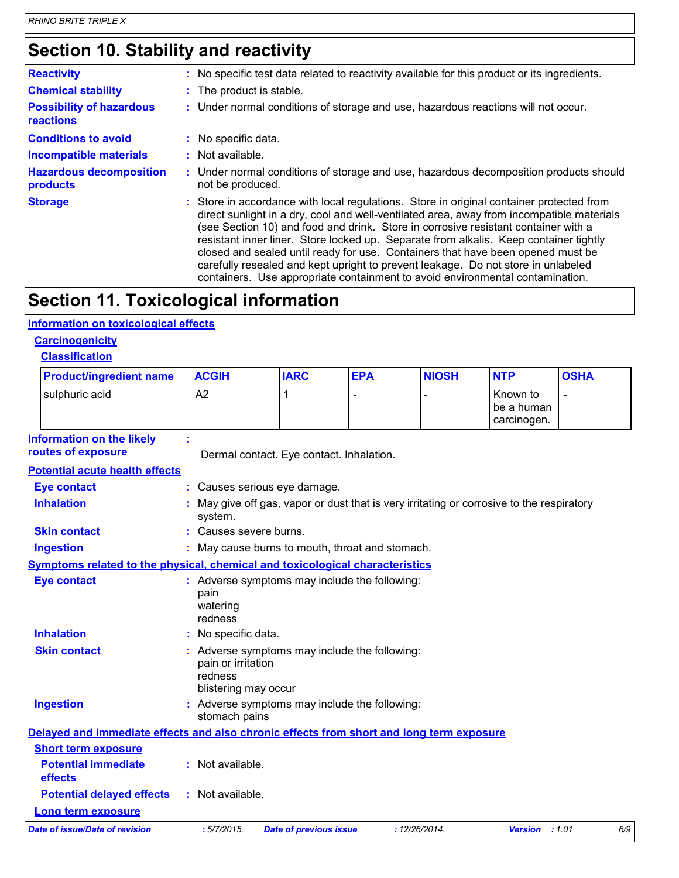# **Section 10. Stability and reactivity**

| <b>Reactivity</b>                                   | : No specific test data related to reactivity available for this product or its ingredients.                                                                                                                                                                                                                                                                                                                                                                                                                                                                                                                                  |
|-----------------------------------------------------|-------------------------------------------------------------------------------------------------------------------------------------------------------------------------------------------------------------------------------------------------------------------------------------------------------------------------------------------------------------------------------------------------------------------------------------------------------------------------------------------------------------------------------------------------------------------------------------------------------------------------------|
| <b>Chemical stability</b>                           | : The product is stable.                                                                                                                                                                                                                                                                                                                                                                                                                                                                                                                                                                                                      |
| <b>Possibility of hazardous</b><br><b>reactions</b> | : Under normal conditions of storage and use, hazardous reactions will not occur.                                                                                                                                                                                                                                                                                                                                                                                                                                                                                                                                             |
| <b>Conditions to avoid</b>                          | : No specific data.                                                                                                                                                                                                                                                                                                                                                                                                                                                                                                                                                                                                           |
| <b>Incompatible materials</b>                       | : Not available.                                                                                                                                                                                                                                                                                                                                                                                                                                                                                                                                                                                                              |
| <b>Hazardous decomposition</b><br>products          | : Under normal conditions of storage and use, hazardous decomposition products should<br>not be produced.                                                                                                                                                                                                                                                                                                                                                                                                                                                                                                                     |
| <b>Storage</b>                                      | : Store in accordance with local regulations. Store in original container protected from<br>direct sunlight in a dry, cool and well-ventilated area, away from incompatible materials<br>(see Section 10) and food and drink. Store in corrosive resistant container with a<br>resistant inner liner. Store locked up. Separate from alkalis. Keep container tightly<br>closed and sealed until ready for use. Containers that have been opened must be<br>carefully resealed and kept upright to prevent leakage. Do not store in unlabeled<br>containers. Use appropriate containment to avoid environmental contamination. |

# **Section 11. Toxicological information**

### **Information on toxicological effects**

### **Carcinogenicity**

| <b>Product/ingredient name</b>                                                           | <b>ACGIH</b>                                          | <b>IARC</b>                                     | <b>EPA</b> | <b>NIOSH</b>  | <b>NTP</b>                                                                                | <b>OSHA</b> |
|------------------------------------------------------------------------------------------|-------------------------------------------------------|-------------------------------------------------|------------|---------------|-------------------------------------------------------------------------------------------|-------------|
| sulphuric acid                                                                           | A2                                                    | 1                                               |            |               | Known to<br>be a human<br>carcinogen.                                                     |             |
| <b>Information on the likely</b><br>routes of exposure                                   |                                                       | Dermal contact. Eye contact. Inhalation.        |            |               |                                                                                           |             |
| <b>Potential acute health effects</b>                                                    |                                                       |                                                 |            |               |                                                                                           |             |
| <b>Eye contact</b>                                                                       |                                                       | : Causes serious eye damage.                    |            |               |                                                                                           |             |
| <b>Inhalation</b>                                                                        | system.                                               |                                                 |            |               | : May give off gas, vapor or dust that is very irritating or corrosive to the respiratory |             |
| <b>Skin contact</b>                                                                      | : Causes severe burns.                                |                                                 |            |               |                                                                                           |             |
| <b>Ingestion</b>                                                                         |                                                       | : May cause burns to mouth, throat and stomach. |            |               |                                                                                           |             |
| Symptoms related to the physical, chemical and toxicological characteristics             |                                                       |                                                 |            |               |                                                                                           |             |
| <b>Eye contact</b>                                                                       | pain<br>watering<br>redness                           | : Adverse symptoms may include the following:   |            |               |                                                                                           |             |
| <b>Inhalation</b>                                                                        | : No specific data.                                   |                                                 |            |               |                                                                                           |             |
| <b>Skin contact</b>                                                                      | pain or irritation<br>redness<br>blistering may occur | : Adverse symptoms may include the following:   |            |               |                                                                                           |             |
| <b>Ingestion</b>                                                                         | stomach pains                                         | : Adverse symptoms may include the following:   |            |               |                                                                                           |             |
| Delayed and immediate effects and also chronic effects from short and long term exposure |                                                       |                                                 |            |               |                                                                                           |             |
| <b>Short term exposure</b>                                                               |                                                       |                                                 |            |               |                                                                                           |             |
| <b>Potential immediate</b><br>effects                                                    | : Not available.                                      |                                                 |            |               |                                                                                           |             |
| <b>Potential delayed effects</b>                                                         | : Not available.                                      |                                                 |            |               |                                                                                           |             |
| <b>Long term exposure</b>                                                                |                                                       |                                                 |            |               |                                                                                           |             |
| Date of issue/Date of revision                                                           | :5/7/2015.                                            | <b>Date of previous issue</b>                   |            | : 12/26/2014. | Version : 1.01                                                                            | 6/9         |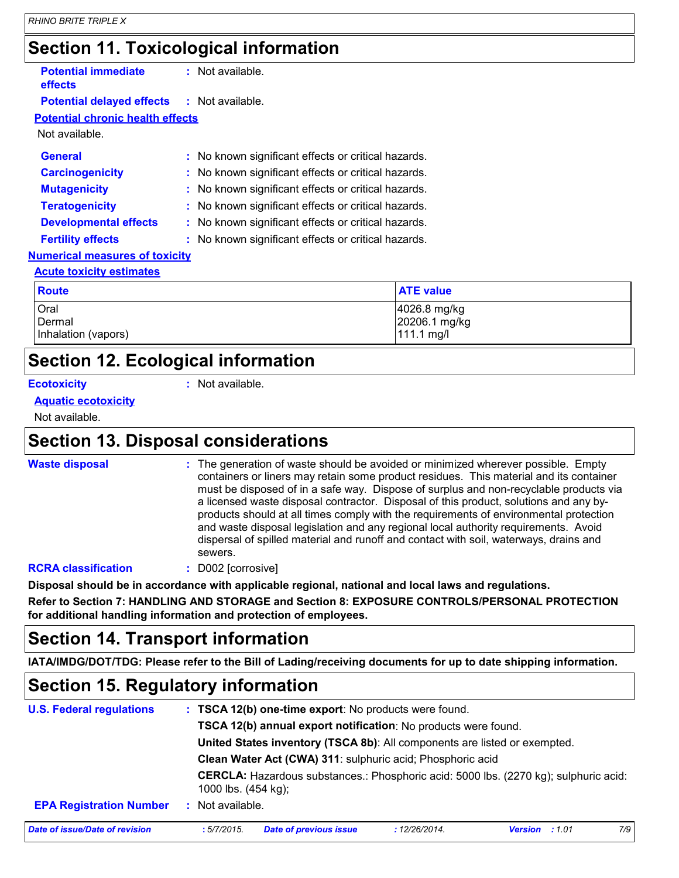# **Section 11. Toxicological information**

|                                                   | ີ                                                   |                  |
|---------------------------------------------------|-----------------------------------------------------|------------------|
| <b>Potential immediate</b><br><b>effects</b>      | : Not available.                                    |                  |
| <b>Potential delayed effects : Not available.</b> |                                                     |                  |
| <b>Potential chronic health effects</b>           |                                                     |                  |
| Not available.                                    |                                                     |                  |
| <b>General</b>                                    | : No known significant effects or critical hazards. |                  |
| <b>Carcinogenicity</b>                            | : No known significant effects or critical hazards. |                  |
| <b>Mutagenicity</b>                               | : No known significant effects or critical hazards. |                  |
| <b>Teratogenicity</b>                             | : No known significant effects or critical hazards. |                  |
| <b>Developmental effects</b>                      | : No known significant effects or critical hazards. |                  |
| <b>Fertility effects</b>                          | : No known significant effects or critical hazards. |                  |
| <b>Numerical measures of toxicity</b>             |                                                     |                  |
| <b>Acute toxicity estimates</b>                   |                                                     |                  |
| <b>Route</b>                                      |                                                     | <b>ATE value</b> |

| <b>Route</b>                          | <b>ATE value</b>                            |
|---------------------------------------|---------------------------------------------|
| Oral<br>Dermal<br>Inhalation (vapors) | 4026.8 mg/kg<br>20206.1 mg/kg<br>111.1 mg/l |
|                                       |                                             |

# **Section 12. Ecological information**

**Ecotoxicity :**

: Not available.

### **Aquatic ecotoxicity**

Not available.

### **Section 13. Disposal considerations**

| <b>Waste disposal</b> |
|-----------------------|
|                       |

**Waste disposal The generation of waste should be avoided or minimized wherever possible. Empty and the system of more continuity of the system of the system of the system of the system of the system of the system of the s** containers or liners may retain some product residues. This material and its container must be disposed of in a safe way. Dispose of surplus and non-recyclable products via a licensed waste disposal contractor. Disposal of this product, solutions and any byproducts should at all times comply with the requirements of environmental protection and waste disposal legislation and any regional local authority requirements. Avoid dispersal of spilled material and runoff and contact with soil, waterways, drains and sewers.

### **RCRA classification :** D002 [corrosive]

**Disposal should be in accordance with applicable regional, national and local laws and regulations.**

**Refer to Section 7: HANDLING AND STORAGE and Section 8: EXPOSURE CONTROLS/PERSONAL PROTECTION for additional handling information and protection of employees.**

# **Section 14. Transport information**

**IATA/IMDG/DOT/TDG: Please refer to the Bill of Lading/receiving documents for up to date shipping information.**

# **Section 15. Regulatory information**

| <b>U.S. Federal regulations</b> |                      | : TSCA 12(b) one-time export: No products were found.                                                                                                                                                     |               |                                                                                             |     |  |  |  |
|---------------------------------|----------------------|-----------------------------------------------------------------------------------------------------------------------------------------------------------------------------------------------------------|---------------|---------------------------------------------------------------------------------------------|-----|--|--|--|
|                                 |                      | TSCA 12(b) annual export notification: No products were found.<br>United States inventory (TSCA 8b): All components are listed or exempted.<br>Clean Water Act (CWA) 311: sulphuric acid; Phosphoric acid |               |                                                                                             |     |  |  |  |
|                                 |                      |                                                                                                                                                                                                           |               |                                                                                             |     |  |  |  |
|                                 |                      |                                                                                                                                                                                                           |               |                                                                                             |     |  |  |  |
|                                 | 1000 lbs. (454 kg);  |                                                                                                                                                                                                           |               | <b>CERCLA:</b> Hazardous substances.: Phosphoric acid: 5000 lbs. (2270 kg); sulphuric acid: |     |  |  |  |
| <b>EPA Registration Number</b>  | Not available.<br>Æ. |                                                                                                                                                                                                           |               |                                                                                             |     |  |  |  |
| Date of issue/Date of revision  | :5/7/2015            | <b>Date of previous issue</b>                                                                                                                                                                             | : 12/26/2014. | <b>Version</b> : 1.01                                                                       | 7/9 |  |  |  |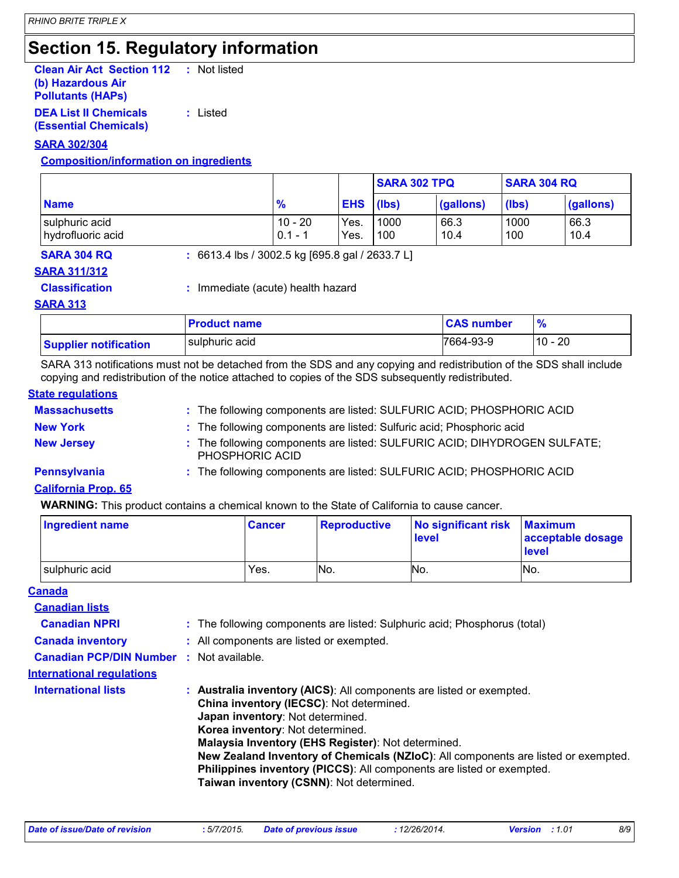# **Section 15. Regulatory information**

| <b>Clean Air Act Section 112</b> | : Not listed |  |
|----------------------------------|--------------|--|
| (b) Hazardous Air                |              |  |
| <b>Pollutants (HAPS)</b>         |              |  |
| <b>DEA List II Chemicals</b>     | : Listed     |  |

**(Essential Chemicals)**

**SARA 302/304**

### **Composition/information on ingredients**

|                                     |                        |                  | <b>SARA 302 TPQ</b> |              | <b>SARA 304 RQ</b> |              |
|-------------------------------------|------------------------|------------------|---------------------|--------------|--------------------|--------------|
| <b>Name</b>                         | $\frac{9}{6}$          | <b>EHS</b> (lbs) |                     | (gallons)    | (lbs)              | (gallons)    |
| sulphuric acid<br>hydrofluoric acid | $10 - 20$<br>$0.1 - 1$ | Yes.<br>Yes.     | 1000<br>100         | 66.3<br>10.4 | 1000<br>100        | 66.3<br>10.4 |

**SARA 304 RQ :** 6613.4 lbs / 3002.5 kg [695.8 gal / 2633.7 L]

### **SARA 311/312**

**Classification :** Immediate (acute) health hazard

#### **SARA 313**

|                              | <b>Product name</b> | <b>CAS number</b> |           |
|------------------------------|---------------------|-------------------|-----------|
| <b>Supplier notification</b> | sulphuric acid      | 7664-93-9         | $10 - 20$ |

SARA 313 notifications must not be detached from the SDS and any copying and redistribution of the SDS shall include copying and redistribution of the notice attached to copies of the SDS subsequently redistributed.

#### **State regulations**

| <b>Massachusetts</b> | : The following components are listed: SULFURIC ACID; PHOSPHORIC ACID                        |
|----------------------|----------------------------------------------------------------------------------------------|
| <b>New York</b>      | : The following components are listed: Sulfuric acid; Phosphoric acid                        |
| <b>New Jersey</b>    | : The following components are listed: SULFURIC ACID; DIHYDROGEN SULFATE;<br>PHOSPHORIC ACID |
| Pennsylvania         | : The following components are listed: SULFURIC ACID; PHOSPHORIC ACID                        |
|                      |                                                                                              |

#### **California Prop. 65**

**WARNING:** This product contains a chemical known to the State of California to cause cancer.

| <b>Ingredient name</b> | <b>Cancer</b> | <b>Reproductive</b> | No significant risk<br>level | <b>Maximum</b><br>acceptable dosage<br><b>level</b> |
|------------------------|---------------|---------------------|------------------------------|-----------------------------------------------------|
| sulphuric acid         | Yes.          | No.                 | No.                          | IN <sub>O</sub>                                     |

#### **Canada**

| <b>Canadian lists</b>            |                                                                                                                                                                                                                                                                                                                                                                                                                                                           |
|----------------------------------|-----------------------------------------------------------------------------------------------------------------------------------------------------------------------------------------------------------------------------------------------------------------------------------------------------------------------------------------------------------------------------------------------------------------------------------------------------------|
| <b>Canadian NPRI</b>             | : The following components are listed: Sulphuric acid; Phosphorus (total)                                                                                                                                                                                                                                                                                                                                                                                 |
| <b>Canada inventory</b>          | : All components are listed or exempted.                                                                                                                                                                                                                                                                                                                                                                                                                  |
| <b>Canadian PCP/DIN Number</b>   | : Not available.                                                                                                                                                                                                                                                                                                                                                                                                                                          |
| <b>International regulations</b> |                                                                                                                                                                                                                                                                                                                                                                                                                                                           |
| <b>International lists</b>       | : Australia inventory (AICS): All components are listed or exempted.<br>China inventory (IECSC): Not determined.<br>Japan inventory: Not determined.<br>Korea inventory: Not determined.<br>Malaysia Inventory (EHS Register): Not determined.<br>New Zealand Inventory of Chemicals (NZIoC): All components are listed or exempted.<br>Philippines inventory (PICCS): All components are listed or exempted.<br>Taiwan inventory (CSNN): Not determined. |